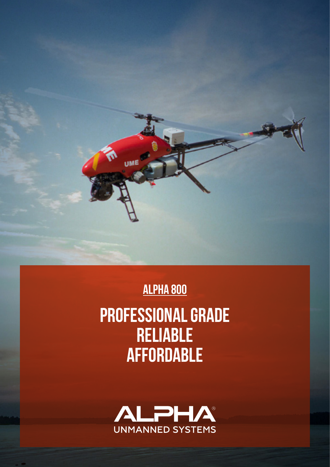

alpha 800

PROFESSIONAL GRADE RELIABLE **AFFORDABLE**